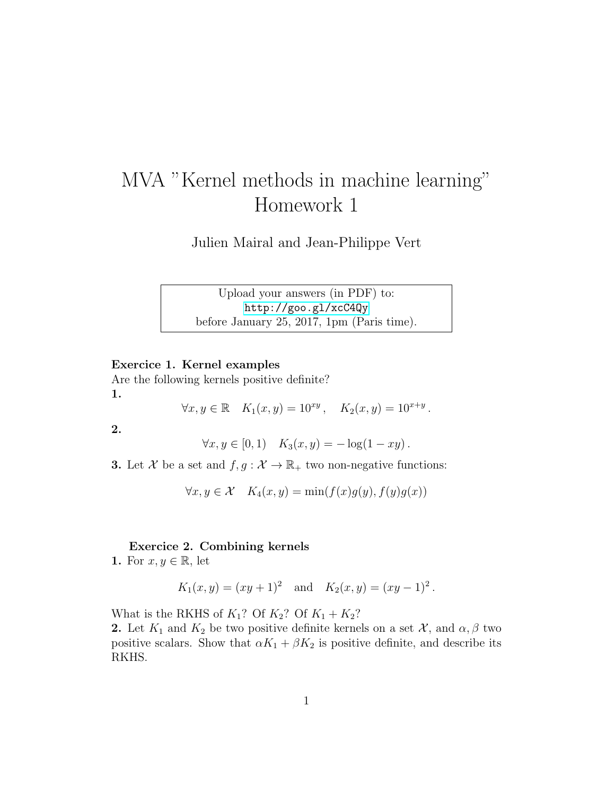## MVA "Kernel methods in machine learning" Homework 1

Julien Mairal and Jean-Philippe Vert

Upload your answers (in PDF) to: <http://goo.gl/xcC4Qy> before January 25, 2017, 1pm (Paris time).

## Exercice 1. Kernel examples

Are the following kernels positive definite? 1.

 $\forall x, y \in \mathbb{R} \quad K_1(x, y) = 10^{xy}, \quad K_2(x, y) = 10^{x+y}.$ 

2.

$$
\forall x, y \in [0, 1) \quad K_3(x, y) = -\log(1 - xy).
$$

**3.** Let X be a set and  $f, g : \mathcal{X} \to \mathbb{R}_+$  two non-negative functions:

$$
\forall x, y \in \mathcal{X} \quad K_4(x, y) = \min(f(x)g(y), f(y)g(x))
$$

## Exercice 2. Combining kernels

1. For  $x, y \in \mathbb{R}$ , let

$$
K_1(x, y) = (xy + 1)^2
$$
 and  $K_2(x, y) = (xy - 1)^2$ .

What is the RKHS of  $K_1$ ? Of  $K_2$ ? Of  $K_1 + K_2$ ?

2. Let  $K_1$  and  $K_2$  be two positive definite kernels on a set  $\mathcal{X}$ , and  $\alpha, \beta$  two positive scalars. Show that  $\alpha K_1 + \beta K_2$  is positive definite, and describe its RKHS.